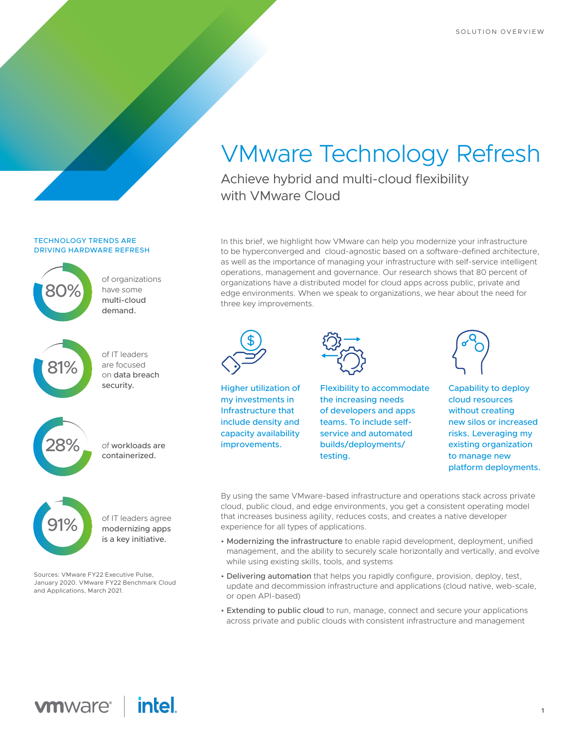# VMware Technology Refresh

Achieve hybrid and multi-cloud flexibility with VMware Cloud

In this brief, we highlight how VMware can help you modernize your infrastructure to be hyperconverged and cloud-agnostic based on a software-defined architecture, as well as the importance of managing your infrastructure with self-service intelligent operations, management and governance. Our research shows that 80 percent of organizations have a distributed model for cloud apps across public, private and edge environments. When we speak to organizations, we hear about the need for three key improvements.



Higher utilization of my investments in Infrastructure that include density and capacity availability improvements.



testing.



Capability to deploy cloud resources without creating new silos or increased risks. Leveraging my existing organization to manage new platform deployments.

of workloads are containerized. 28% of workloads are containerized.



cloud demand.

81%

28%

 $\blacksquare$  010/ $\blacksquare$ 

81%

28%

breach security.

80%

81%

breach security.

80%

cloud demand.

**DOOO** 

**TECHNOLOGY TRENDS ARE** 

DRIVING HARDWARE REFRESH

of organizations have some multi-

80% of organizations have some multi-

 $\overline{\phantom{a}}$  multi-cloud

 $\overline{\phantom{a}}$  of IT leaders

81% of IT leaders are focused on data

have some

demand.

are focused on data breach security.

of IT leaders agree modernizing apps is a key initiative.

Sources: VMware FY22 Executive Pulse, Sources: VMware FY22 Executive Pulse,<br>January 2020. VMware FY22 Benchmark Cloud<br>and Applications. March 2021. and Applications, March 2021.

By using the same VMware-based infrastructure and operations stack across private cloud, public cloud, and edge environments, you get a consistent operating model that increases business agility, reduces costs, and creates a native developer experience for all types of applications.

Flexibility to accommodate the increasing needs of developers and apps teams. To include selfservice and automated builds/deployments/

- Modernizing the infrastructure to enable rapid development, deployment, unified management, and the ability to securely scale horizontally and vertically, and evolve while using existing skills, tools, and systems
- Delivering automation that helps you rapidly configure, provision, deploy, test, update and decommission infrastructure and applications (cloud native, web-scale, or open API-based)
- Extending to public cloud to run, manage, connect and secure your applications across private and public clouds with consistent infrastructure and management

# *intel.* **vmware**® |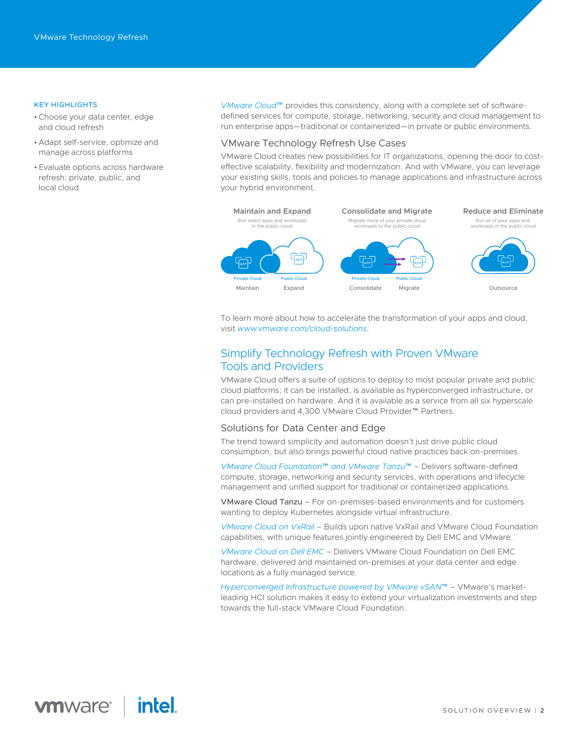#### KEY HIGHLIGHTS

- •Choose your data center, edge and cloud refresh
- Adapt self-service, optimize and manage across platforms
- Evaluate options across hardware refresh: private, public, and local cloud

*[VMware Cloud](https://www.vmware.com/products/cloud-foundation.html)*™ provides this consistency, along with a complete set of softwaredefined services for compute, storage, networking, security and cloud management to run enterprise apps—traditional or containerized—in private or public environments.

### VMware Technology Refresh Use Cases

VMware Cloud creates new possibilities for IT organizations, opening the door to costeffective scalability, flexibility and modernization. And with VMware, you can leverage your existing skills, tools and policies to manage applications and infrastructure across your hybrid environment.



To learn more about how to accelerate the transformation of your apps and cloud, visit *[www.vmware.com/cloud-solutions](http://www.vmware.com/cloud-solutions)*.

## Simplify Technology Refresh with Proven VMware Tools and Providers

VMware Cloud offers a suite of options to deploy to most popular private and public cloud platforms; it can be installed, is available as hyperconverged infrastructure, or can pre-installed on hardware. And it is available as a service from all six hyperscale cloud providers and 4,300 VMware Cloud Provider™ Partners.

#### Solutions for Data Center and Edge

The trend toward simplicity and automation doesn't just drive public cloud consumption, but also brings powerful cloud native practices back on-premises.

*[VMware Cloud Foundation](https://www.vmware.com/products/cloud-foundation.html)*™ *and VMware Tanzu*™ – Delivers software-defined compute, storage, networking and security services, with operations and lifecycle management and unified support for traditional or containerized applications.

VMware Cloud Tanzu – For on-premises-based environments and for customers wanting to deploy Kubernetes alongside virtual infrastructure.

*[VMware Cloud on VxRail](https://www.vmware.com/content/dam/digitalmarketing/vmware/en/pdf/products/cloud-foundation/vmw-cloud-foundation-on-vxrail-solution-overview.pdf)* – Builds upon native VxRail and VMware Cloud Foundation capabilities, with unique features jointly engineered by Dell EMC and VMware.

*[VMware Cloud on Dell EMC](https://www.vmware.com/products/vmc-on-dell-emc.html)* – Delivers VMware Cloud Foundation on Dell EMC hardware, delivered and maintained on-premises at your data center and edge locations as a fully managed service.

*[Hyperconverged Infrastructure powered by VMware vSAN](https://www.vmware.com/products/vsan.html)*™ – VMware's marketleading HCI solution makes it easy to extend your virtualization investments and step towards the full-stack VMware Cloud Foundation.

## *intel.* **vm**ware<sup>®</sup>